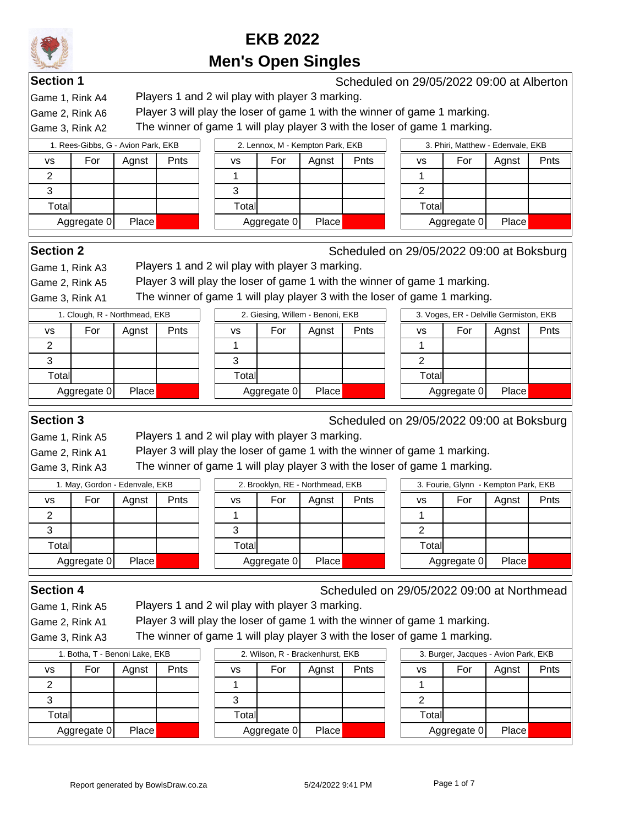

**Section 1** Scheduled on 29/05/2022 09:00 at Alberton and Scheduled on 29/05/2022 09:00 at Alberton

Game 1, Rink A4 Players 1 and 2 wil play with player 3 marking.

Game 2, Rink A6 Player 3 will play the loser of game 1 with the winner of game 1 marking.

Game 3, Rink A2 The winner of game 1 will play player 3 with the loser of game 1 marking.

|           | 1. Rees-Gibbs, G - Avion Park, EKB |       |      |        |             | 2. Lennox, M - Kempton Park, EKB |      |        |             | 3. Phiri, Matthew - Edenvale, EKB |      |
|-----------|------------------------------------|-------|------|--------|-------------|----------------------------------|------|--------|-------------|-----------------------------------|------|
| <b>VS</b> | For                                | Aqnst | Pnts | VS     | For         | Aqnst                            | Pnts | vs     | For         | Aqnst                             | Pnts |
| ົ         |                                    |       |      |        |             |                                  |      |        |             |                                   |      |
| ົ         |                                    |       |      | 3      |             |                                  |      |        |             |                                   |      |
| Totall    |                                    |       |      | Totall |             |                                  |      | Totall |             |                                   |      |
|           | Aggregate 0                        | Place |      |        | Aggregate 0 | Place                            |      |        | Aggregate 0 | Place                             |      |

**Section 2** Scheduled on 29/05/2022 09:00 at Boksburg

Game 1, Rink A3 Players 1 and 2 wil play with player 3 marking.

Game 2, Rink A5 Player 3 will play the loser of game 1 with the winner of game 1 marking.

Game 3, Rink A1 The winner of game 1 will play player 3 with the loser of game 1 marking.

|                |             | 1. Clough, R - Northmead, EKB |      |        |             | 2. Giesing, Willem - Benoni, EKB |      |       |             | 3. Voges, ER - Delville Germiston, EKB |      |  |
|----------------|-------------|-------------------------------|------|--------|-------------|----------------------------------|------|-------|-------------|----------------------------------------|------|--|
| vs             | For         | Agnst                         | Pnts | VS     | For         | Agnst                            | Pnts | vs    | For         | Agnst                                  | Pnts |  |
| $\overline{2}$ |             |                               |      |        |             |                                  |      |       |             |                                        |      |  |
| 3              |             |                               |      |        |             |                                  |      |       |             |                                        |      |  |
| Total          |             |                               |      | Totall |             |                                  |      | Total |             |                                        |      |  |
|                | Aggregate 0 | <b>Place</b>                  |      |        | Aggregate 0 | Place <sub>1</sub>               |      |       | Aggregate 0 | <b>Place</b>                           |      |  |

**Section 3** Scheduled on 29/05/2022 09:00 at Boksburg

Game 1, Rink A5 Players 1 and 2 wil play with player 3 marking.

Game 2, Rink A1 Player 3 will play the loser of game 1 with the winner of game 1 marking.

Game 3, Rink A3 The winner of game 1 will play player 3 with the loser of game 1 marking.

|           | 1. May, Gordon - Edenvale, EKB |       |      |        | 2. Brooklyn, RE - Northmead, EKB |              |      |       |             | 3. Fourie, Glynn - Kempton Park, EKB |      |
|-----------|--------------------------------|-------|------|--------|----------------------------------|--------------|------|-------|-------------|--------------------------------------|------|
| <b>VS</b> | For                            | Aqnst | Pnts | VS     | For                              | Agnst        | Pnts | vs    | For         | Agnst                                | Pnts |
|           |                                |       |      |        |                                  |              |      |       |             |                                      |      |
| J         |                                |       |      |        |                                  |              |      |       |             |                                      |      |
| Total     |                                |       |      | Totall |                                  |              |      | Total |             |                                      |      |
|           | Aggregate 0                    | Place |      |        | Aggregate 0                      | <b>Place</b> |      |       | Aggregate 0 | Place                                |      |

Game 1, Rink A5 Players 1 and 2 wil play with player 3 marking.

**Section 4** Scheduled on 29/05/2022 09:00 at Northmead

Game 2, Rink A1 Player 3 will play the loser of game 1 with the winner of game 1 marking.

Game 3, Rink A3 The winner of game 1 will play player 3 with the loser of game 1 marking.

| 1. Botha, T - Benoni Lake, EKB |                      |  |  |  |  |  |  |  |  |  |  |
|--------------------------------|----------------------|--|--|--|--|--|--|--|--|--|--|
| VS                             | For<br>Pnts<br>Agnst |  |  |  |  |  |  |  |  |  |  |
| 2                              |                      |  |  |  |  |  |  |  |  |  |  |
| З                              |                      |  |  |  |  |  |  |  |  |  |  |
| Total                          |                      |  |  |  |  |  |  |  |  |  |  |
| Aggregate 0                    | Place                |  |  |  |  |  |  |  |  |  |  |

| 1. Botha, T - Benoni Lake, EKB |              |      |        | 2. Wilson, R - Brackenhurst, EKB |       |      |        | 3. Burger, Jacques - Avion Park, EKB |       |    |
|--------------------------------|--------------|------|--------|----------------------------------|-------|------|--------|--------------------------------------|-------|----|
| For                            | Aqnst        | Pnts | vs     | For                              | Aanst | Pnts | vs     | For                                  | Agnst | Pn |
|                                |              |      |        |                                  |       |      |        |                                      |       |    |
|                                |              |      |        |                                  |       |      |        |                                      |       |    |
| ıtall                          |              |      | Totall |                                  |       |      | Total∣ |                                      |       |    |
| Aggregate 0                    | <b>Place</b> |      |        | Aggregate 0                      | Place |      |        | Aggregate 0                          | Place |    |
|                                |              |      |        |                                  |       |      |        |                                      |       |    |

|                      | 3. Burger, Jacques - Avion Park, EKB |  |  |  |  |  |  |  |  |  |  |  |
|----------------------|--------------------------------------|--|--|--|--|--|--|--|--|--|--|--|
| vs                   | For<br>Pnts<br>Agnst                 |  |  |  |  |  |  |  |  |  |  |  |
|                      |                                      |  |  |  |  |  |  |  |  |  |  |  |
| 2                    |                                      |  |  |  |  |  |  |  |  |  |  |  |
| Total                |                                      |  |  |  |  |  |  |  |  |  |  |  |
| Aggregate 0<br>Place |                                      |  |  |  |  |  |  |  |  |  |  |  |
|                      |                                      |  |  |  |  |  |  |  |  |  |  |  |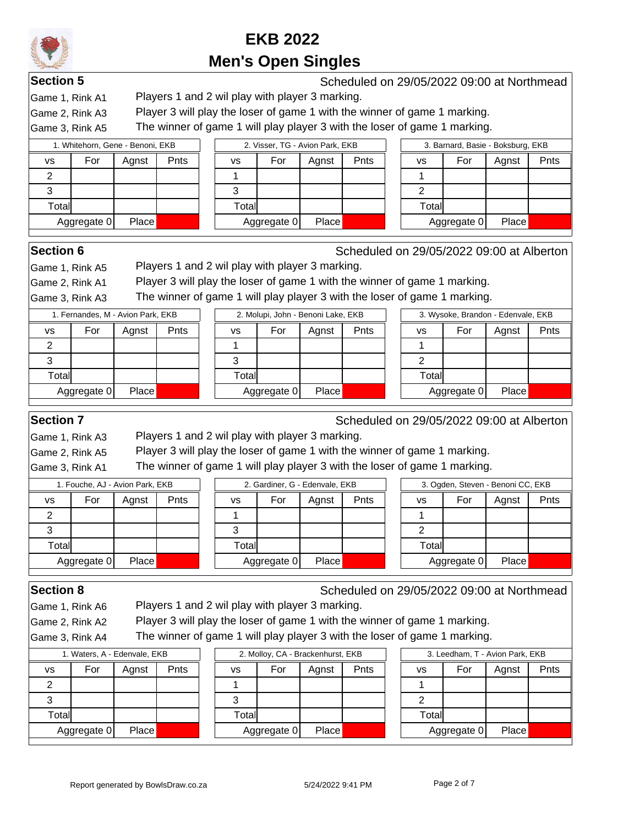

**Section 5** Scheduled on 29/05/2022 09:00 at Northmead

Game 1, Rink A1 Players 1 and 2 wil play with player 3 marking.

Game 2, Rink A3 Player 3 will play the loser of game 1 with the winner of game 1 marking.

Game 3, Rink A5 The winner of game 1 will play player 3 with the loser of game 1 marking.

|           | 1. Whitehorn, Gene - Benoni, EKB |       |      |                        |             | 2. Visser, TG - Avion Park, EKB |      |  |        |             | 3. Barnard, Basie - Boksburg, EKB |      |
|-----------|----------------------------------|-------|------|------------------------|-------------|---------------------------------|------|--|--------|-------------|-----------------------------------|------|
| <b>VS</b> | For                              | Aqnst | Pnts | VS                     | For         | Agnst                           | Pnts |  | vs     | For         | Agnst                             | Pnts |
|           |                                  |       |      |                        |             |                                 |      |  |        |             |                                   |      |
| Ő         |                                  |       |      |                        |             |                                 |      |  |        |             |                                   |      |
| Total     |                                  |       |      | $\tau$ <sub>otal</sub> |             |                                 |      |  | Totall |             |                                   |      |
|           | Aggregate 0                      | Place |      |                        | Aggregate 0 | Place                           |      |  |        | Aggregate 0 | <b>Place</b>                      |      |

**Section 6** Scheduled on 29/05/2022 09:00 at Alberton

Game 1, Rink A5 Players 1 and 2 wil play with player 3 marking.

Game 2, Rink A1 Player 3 will play the loser of game 1 with the winner of game 1 marking.

Game 3, Rink A3 The winner of game 1 will play player 3 with the loser of game 1 marking.

|       | 1. Fernandes, M - Avion Park, EKB |       |      |        |             | 2. Molupi, John - Benoni Lake, EKB |      |  |       |             | 3. Wysoke, Brandon - Edenvale, EKB |      |  |  |
|-------|-----------------------------------|-------|------|--------|-------------|------------------------------------|------|--|-------|-------------|------------------------------------|------|--|--|
| vs    | For                               | Agnst | Pnts | vs     | For         | Agnst                              | Pnts |  | vs    | For         | Aqnst                              | Pnts |  |  |
| 2     |                                   |       |      |        |             |                                    |      |  |       |             |                                    |      |  |  |
| 3     |                                   |       |      |        |             |                                    |      |  |       |             |                                    |      |  |  |
| Total |                                   |       |      | Totall |             |                                    |      |  | Total |             |                                    |      |  |  |
|       | Aggregate 0                       | Place |      |        | Aggregate 0 | Place                              |      |  |       | Aggregate 0 | Place                              |      |  |  |
|       |                                   |       |      |        |             |                                    |      |  |       |             |                                    |      |  |  |

**Section 7** Section 7 Section 29/05/2022 09:00 at Alberton 39 Scheduled on 29/05/2022 09:00 at Alberton

Game 1, Rink A3 Players 1 and 2 wil play with player 3 marking.

Game 2, Rink A5 Player 3 will play the loser of game 1 with the winner of game 1 marking.

Game 3, Rink A1 The winner of game 1 will play player 3 with the loser of game 1 marking.

|       | 1. Fouche, AJ - Avion Park, EKB |              |      |       |             | 2. Gardiner, G - Edenvale, EKB |      |        |             | 3. Ogden, Steven - Benoni CC, EKB |      |
|-------|---------------------------------|--------------|------|-------|-------------|--------------------------------|------|--------|-------------|-----------------------------------|------|
| VS    | For                             | Aqnst        | Pnts | VS    | For         | Agnst                          | Pnts | vs     | For         | Agnst                             | Pnts |
|       |                                 |              |      |       |             |                                |      |        |             |                                   |      |
| Ő     |                                 |              |      | 3     |             |                                |      |        |             |                                   |      |
| Total |                                 |              |      | Total |             |                                |      | Totall |             |                                   |      |
|       | Aggregate 0                     | <b>Place</b> |      |       | Aggregate 0 | Place                          |      |        | Aggregate 0 | Place                             |      |

Game 1, Rink A6 Players 1 and 2 wil play with player 3 marking.

**Section 8** Scheduled on 29/05/2022 09:00 at Northmead

Game 2, Rink A2 Player 3 will play the loser of game 1 with the winner of game 1 marking.

Game 3, Rink A4 The winner of game 1 will play player 3 with the loser of game 1 marking.

| 1. Waters, A - Edenvale, EKB |             |       |      |  |  |  |  |  |  |  |
|------------------------------|-------------|-------|------|--|--|--|--|--|--|--|
| VS                           | For         | Agnst | Pnts |  |  |  |  |  |  |  |
|                              |             |       |      |  |  |  |  |  |  |  |
|                              |             |       |      |  |  |  |  |  |  |  |
| Total                        |             |       |      |  |  |  |  |  |  |  |
|                              | Aggregate 0 | Place |      |  |  |  |  |  |  |  |

|     |             | 1. Waters, A - Edenvale, EKB |      |       |             | 2. Molloy, CA - Brackenhurst, EKB |      |        | 3. Leedham, T - Avion Park, EKB |       |   |
|-----|-------------|------------------------------|------|-------|-------------|-----------------------------------|------|--------|---------------------------------|-------|---|
|     | For         | Agnst                        | Pnts | ٧S    | For         | Agnst                             | Pnts | vs     | For                             | Agnst | Е |
|     |             |                              |      |       |             |                                   |      |        |                                 |       |   |
|     |             |                              |      |       |             |                                   |      |        |                                 |       |   |
| all |             |                              |      | Total |             |                                   |      | Totall |                                 |       |   |
|     | ∖ggregate 0 | <b>Place</b>                 |      |       | Aggregate 0 | <b>Place</b>                      |      |        | Aggregate 0                     | Place |   |
|     |             |                              |      |       |             |                                   |      |        |                                 |       |   |

|       | 3. Leedham, T - Avion Park, EKB |  |  |  |  |  |  |  |  |  |  |  |
|-------|---------------------------------|--|--|--|--|--|--|--|--|--|--|--|
| vs    | For<br>Pnts<br>Agnst            |  |  |  |  |  |  |  |  |  |  |  |
|       |                                 |  |  |  |  |  |  |  |  |  |  |  |
| 2     |                                 |  |  |  |  |  |  |  |  |  |  |  |
| Total |                                 |  |  |  |  |  |  |  |  |  |  |  |
|       | Aggregate 0<br>Place            |  |  |  |  |  |  |  |  |  |  |  |
|       |                                 |  |  |  |  |  |  |  |  |  |  |  |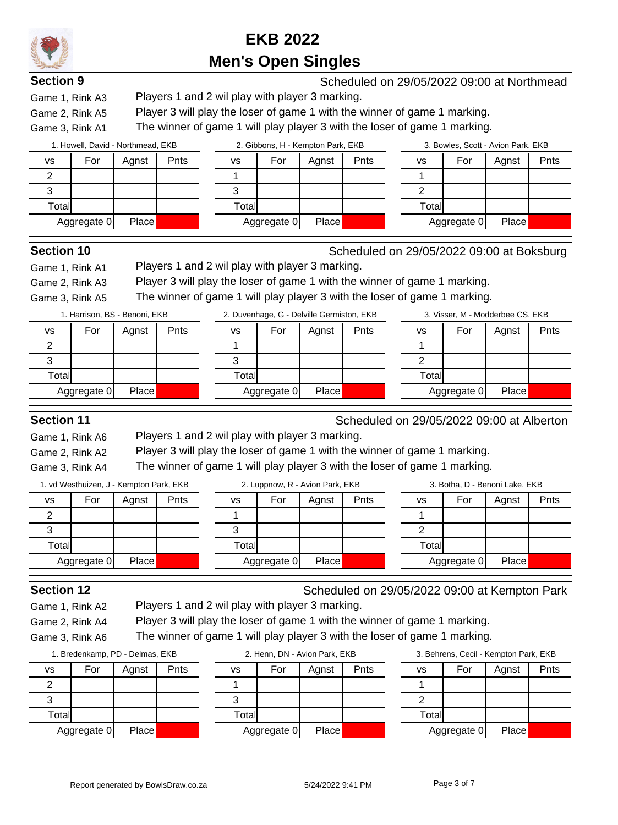# **EKB 2022**

### **Men's Open Singles**

**Section 9** Scheduled on 29/05/2022 09:00 at Northmead

Game 1, Rink A3 Players 1 and 2 wil play with player 3 marking.

Game 2, Rink A5 Player 3 will play the loser of game 1 with the winner of game 1 marking.

Game 3, Rink A1 The winner of game 1 will play player 3 with the loser of game 1 marking.

|        | 1. Howell, David - Northmead, EKB |              |      | 2. Gibbons, H - Kempton Park, EKB |             |              |      |    | 3. Bowles, Scott - Avion Park, EKB |             |       |      |  |  |
|--------|-----------------------------------|--------------|------|-----------------------------------|-------------|--------------|------|----|------------------------------------|-------------|-------|------|--|--|
| vs     | For                               | Agnst        | Pnts | vs                                | For         | Agnst        | Pnts | vs |                                    | For         | Agnst | Pnts |  |  |
| ◠      |                                   |              |      |                                   |             |              |      |    |                                    |             |       |      |  |  |
| っ      |                                   |              |      | J                                 |             |              |      |    |                                    |             |       |      |  |  |
| Totall |                                   |              |      | Totall                            |             |              |      |    | Totall                             |             |       |      |  |  |
|        | Aggregate 0                       | <b>Place</b> |      |                                   | Aggregate 0 | <b>Place</b> |      |    |                                    | Aggregate 0 | Place |      |  |  |

**Section 10** Scheduled on 29/05/2022 09:00 at Boksburg

Game 1, Rink A1 Players 1 and 2 wil play with player 3 marking.

Game 2, Rink A3 Player 3 will play the loser of game 1 with the winner of game 1 marking.

 $\vert$ Game 3, Rink A5 The winner of game 1 will play player 3 with the loser of game 1 marking.

|       | 1. Harrison, BS - Benoni, EKB |       |  |  |  |  |  |  |  |  |  |  |  |  |
|-------|-------------------------------|-------|--|--|--|--|--|--|--|--|--|--|--|--|
| VS    | For<br>Agnst<br>Pnts          |       |  |  |  |  |  |  |  |  |  |  |  |  |
| 2     |                               |       |  |  |  |  |  |  |  |  |  |  |  |  |
| З     |                               |       |  |  |  |  |  |  |  |  |  |  |  |  |
| Total |                               |       |  |  |  |  |  |  |  |  |  |  |  |  |
|       | Aggregate 0                   | Place |  |  |  |  |  |  |  |  |  |  |  |  |
|       |                               |       |  |  |  |  |  |  |  |  |  |  |  |  |

|       | 2. Duvennage, G - Deiville Germiston, EKB |       |      |
|-------|-------------------------------------------|-------|------|
| vs    | For                                       | Agnst | Pnts |
|       |                                           |       |      |
| 3     |                                           |       |      |
| Total |                                           |       |      |
|       | Aggregate 0                               | Place |      |
|       |                                           |       |      |

|                              | 1. Harrison, BS - Benoni, EKB |       |      |  |             |       | 2. Duvenhage, G - Delville Germiston, EKB |      |             |       | 3. Visser, M - Modderbee CS, EKB |      |
|------------------------------|-------------------------------|-------|------|--|-------------|-------|-------------------------------------------|------|-------------|-------|----------------------------------|------|
|                              | For                           | Aqnst | Pnts |  | vs          | For   | Agnst                                     | Pnts | vs          | For   | Aqnst                            | Pnts |
|                              |                               |       |      |  |             |       |                                           |      |             |       |                                  |      |
|                              |                               |       |      |  | 3           |       |                                           |      |             |       |                                  |      |
| tall                         |                               |       |      |  | Total       |       |                                           |      | Total       |       |                                  |      |
| Place<br><b>\ggregate 0 </b> |                               |       |      |  | Aggregate 0 | Place |                                           |      | Aggregate 0 | Place |                                  |      |

**Section 11** Scheduled on 29/05/2022 09:00 at Alberton

Game 1, Rink A6 Players 1 and 2 wil play with player 3 marking.

Game 2, Rink A2 Player 3 will play the loser of game 1 with the winner of game 1 marking.

Game 3, Rink A4 The winner of game 1 will play player 3 with the loser of game 1 marking.

|           | 1. vd Westhuizen, J - Kempton Park, EKB |              |      | 2. Luppnow, R - Avion Park, EKB |             |       |      | 3. Botha, D - Benoni Lake, EKB |             |       |      |  |  |
|-----------|-----------------------------------------|--------------|------|---------------------------------|-------------|-------|------|--------------------------------|-------------|-------|------|--|--|
| <b>VS</b> | For                                     | Agnst        | Pnts | vs                              | For         | Agnst | Pnts | vs                             | For         | Agnst | Pnts |  |  |
| ົ         |                                         |              |      |                                 |             |       |      |                                |             |       |      |  |  |
| っ         |                                         |              |      |                                 |             |       |      |                                |             |       |      |  |  |
| Totall    |                                         |              |      | Totall                          |             |       |      | Total                          |             |       |      |  |  |
|           | Aggregate 0                             | <b>Place</b> |      |                                 | Aggregate 0 | Place |      |                                | Aggregate 0 | Place |      |  |  |

Game 1, Rink A2 Players 1 and 2 wil play with player 3 marking.

**Section 12** Scheduled on 29/05/2022 09:00 at Kempton Park

Game 2, Rink A4 Player 3 will play the loser of game 1 with the winner of game 1 marking.

Game 3, Rink A6 The winner of game 1 will play player 3 with the loser of game 1 marking.

|       | 1. Bredenkamp, PD - Delmas, EKB |       |             |             | 2. Henn, DN - Avion Park, EKB |  |  |  |             | 3. Behrens, Cecil - Kempton Park, EKB |       |     |  |  |
|-------|---------------------------------|-------|-------------|-------------|-------------------------------|--|--|--|-------------|---------------------------------------|-------|-----|--|--|
| vs    | For                             | Agnst | <b>Pnts</b> | <b>VS</b>   | Pnts<br>For<br>Agnst          |  |  |  | vs          | For                                   | Agnst | Pnt |  |  |
|       |                                 |       |             |             |                               |  |  |  |             |                                       |       |     |  |  |
|       |                                 |       |             |             |                               |  |  |  |             |                                       |       |     |  |  |
| Total |                                 |       |             | Total       |                               |  |  |  | Total       |                                       |       |     |  |  |
|       | Place<br>Aggregate 0            |       |             | Aggregate 0 | Place                         |  |  |  | Aggregate 0 | Place                                 |       |     |  |  |

| 2. Henn, DN - Avion Park, EKB |             |       |      |  |  |  |  |  |  |  |  |  |
|-------------------------------|-------------|-------|------|--|--|--|--|--|--|--|--|--|
| vs                            | For         | Agnst | Pnts |  |  |  |  |  |  |  |  |  |
|                               |             |       |      |  |  |  |  |  |  |  |  |  |
| 3                             |             |       |      |  |  |  |  |  |  |  |  |  |
| Total                         |             |       |      |  |  |  |  |  |  |  |  |  |
|                               | Aggregate 0 | Place |      |  |  |  |  |  |  |  |  |  |
|                               |             |       |      |  |  |  |  |  |  |  |  |  |

| 3. Behrens, Cecil - Kempton Park, EKB |             |       |      |  |  |  |  |  |  |  |  |  |
|---------------------------------------|-------------|-------|------|--|--|--|--|--|--|--|--|--|
| vs                                    | For         | Agnst | Pnts |  |  |  |  |  |  |  |  |  |
|                                       |             |       |      |  |  |  |  |  |  |  |  |  |
| 2                                     |             |       |      |  |  |  |  |  |  |  |  |  |
| Total                                 |             |       |      |  |  |  |  |  |  |  |  |  |
|                                       | Aggregate 0 | Place |      |  |  |  |  |  |  |  |  |  |
|                                       |             |       |      |  |  |  |  |  |  |  |  |  |

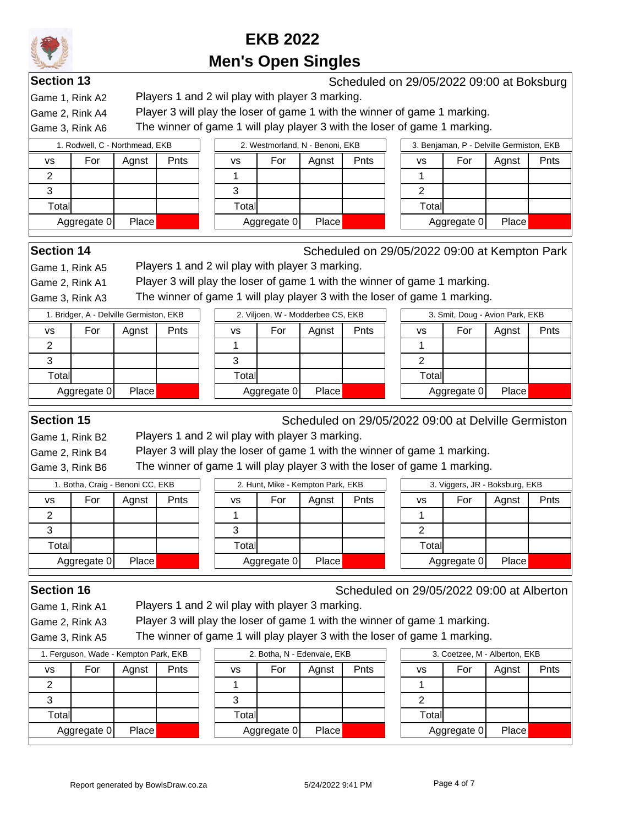

**Section 13** Scheduled on 29/05/2022 09:00 at Boksburg Game 1, Rink A2 Players 1 and 2 wil play with player 3 marking.

Game 2, Rink A4 Player 3 will play the loser of game 1 with the winner of game 1 marking.

Game 3, Rink A6 The winner of game 1 will play player 3 with the loser of game 1 marking.

|                             | 1. Rodwell, C - Northmead, EKB |       |      | 2. Westmorland, N - Benoni, EKB |                            |  |    |     |             | 3. Benjaman, P - Delville Germiston, EKB |  |  |  |  |  |
|-----------------------------|--------------------------------|-------|------|---------------------------------|----------------------------|--|----|-----|-------------|------------------------------------------|--|--|--|--|--|
| vs                          | For                            | Agnst | Pnts |                                 | Pnts<br>For<br>Agnst<br>vs |  | vs | For | Agnst       | Pnts                                     |  |  |  |  |  |
|                             |                                |       |      |                                 |                            |  |    |     |             |                                          |  |  |  |  |  |
| د                           |                                |       |      |                                 |                            |  |    |     |             |                                          |  |  |  |  |  |
| $\tau$ otal                 |                                |       |      |                                 | Totall                     |  |    |     |             | Totall                                   |  |  |  |  |  |
| <b>Place</b><br>Aggregate 0 |                                |       |      | Aggregate 0                     | <b>Place</b>               |  |    |     | Aggregate 0 | Place                                    |  |  |  |  |  |
|                             |                                |       |      |                                 |                            |  |    |     |             |                                          |  |  |  |  |  |

**Section 14** Scheduled on 29/05/2022 09:00 at Kempton Park

Game 1, Rink A5 Players 1 and 2 wil play with player 3 marking.

Game 2, Rink A1 Player 3 will play the loser of game 1 with the winner of game 1 marking.

Game 3, Rink A3 The winner of game 1 will play player 3 with the loser of game 1 marking.

|                             | 1. Bridger, A - Delville Germiston, EKB |       |      |             |       | 2. Viljoen, W - Modderbee CS, EKB |       |             |       | 3. Smit, Doug - Avion Park, EKB |       |      |
|-----------------------------|-----------------------------------------|-------|------|-------------|-------|-----------------------------------|-------|-------------|-------|---------------------------------|-------|------|
| vs                          | For                                     | Agnst | Pnts |             | VS    | For                               | Aqnst | Pnts        | vs    | For                             | Agnst | Pnts |
| 2                           |                                         |       |      |             |       |                                   |       |             |       |                                 |       |      |
| 3                           |                                         |       |      |             |       |                                   |       |             |       |                                 |       |      |
| Total                       |                                         |       |      |             | Total |                                   |       |             | Total |                                 |       |      |
| <b>Place</b><br>Aggregate 0 |                                         |       |      | Aggregate 0 | Place |                                   |       | Aggregate 0 | Place |                                 |       |      |
|                             |                                         |       |      |             |       |                                   |       |             |       |                                 |       |      |

**Section 15** Scheduled on 29/05/2022 09:00 at Delville Germiston

Game 1, Rink B2 Players 1 and 2 wil play with player 3 marking.

Game 2, Rink B4 Player 3 will play the loser of game 1 with the winner of game 1 marking.

Game 3, Rink B6 The winner of game 1 will play player 3 with the loser of game 1 marking.

|                             | 1. Botha, Craig - Benoni CC, EKB |       |      | 2. Hunt, Mike - Kempton Park, EKB |             |              |      | 3. Viggers, JR - Boksburg, EKB |             |       |      |  |  |
|-----------------------------|----------------------------------|-------|------|-----------------------------------|-------------|--------------|------|--------------------------------|-------------|-------|------|--|--|
| VS                          | For                              | Aqnst | Pnts | VS                                | For         | Agnst        | Pnts | vs                             | For         | Agnst | Pnts |  |  |
|                             |                                  |       |      |                                   |             |              |      |                                |             |       |      |  |  |
| Ő                           |                                  |       |      | 3                                 |             |              |      |                                |             |       |      |  |  |
| Total                       |                                  |       |      | Totall                            |             |              |      | Totall                         |             |       |      |  |  |
| <b>Place</b><br>Aggregate 0 |                                  |       |      |                                   | Aggregate 0 | <b>Place</b> |      |                                | Aggregate 0 | Place |      |  |  |

**Section 16** Scheduled on 29/05/2022 09:00 at Alberton

Game 1, Rink A1 Players 1 and 2 wil play with player 3 marking.

Game 2, Rink A3 Player 3 will play the loser of game 1 with the winner of game 1 marking.

Game 3, Rink A5 The winner of game 1 will play player 3 with the loser of game 1 marking.

|                      | 1. Ferguson, Wade - Kempton Park, EKB |       |      |             |              | 2. Botha, N - Edenvale, EKB |       |      |             | 3. Coetzee, M - Alberton, EKB |     |       |  |  |
|----------------------|---------------------------------------|-------|------|-------------|--------------|-----------------------------|-------|------|-------------|-------------------------------|-----|-------|--|--|
| ٧S                   | For                                   | Aqnst | Pnts |             | vs           | For                         | Agnst | Pnts |             | vs                            | For | Agnst |  |  |
|                      |                                       |       |      |             |              |                             |       |      |             |                               |     |       |  |  |
|                      |                                       |       |      |             |              |                             |       |      |             |                               |     |       |  |  |
| Total                |                                       |       |      |             | Totall       |                             |       |      |             | Total                         |     |       |  |  |
| Place<br>Aggregate 0 |                                       |       |      | Aggregate 0 | <b>Place</b> |                             |       |      | Aggregate 0 | Place                         |     |       |  |  |

| 2. Botha, N - Edenvale, EKB |             |       |      |  |  |  |  |  |  |  |
|-----------------------------|-------------|-------|------|--|--|--|--|--|--|--|
| vs                          | For         | Agnst | Pnts |  |  |  |  |  |  |  |
|                             |             |       |      |  |  |  |  |  |  |  |
| 3                           |             |       |      |  |  |  |  |  |  |  |
| Total                       |             |       |      |  |  |  |  |  |  |  |
|                             | Aggregate 0 | Place |      |  |  |  |  |  |  |  |
|                             |             |       |      |  |  |  |  |  |  |  |

| 3. Coetzee, M - Alberton, EKB |             |       |      |  |  |  |  |  |  |
|-------------------------------|-------------|-------|------|--|--|--|--|--|--|
| vs                            | For         | Agnst | Pnts |  |  |  |  |  |  |
|                               |             |       |      |  |  |  |  |  |  |
| 2                             |             |       |      |  |  |  |  |  |  |
| Total                         |             |       |      |  |  |  |  |  |  |
|                               | Aggregate 0 | Place |      |  |  |  |  |  |  |
|                               |             |       |      |  |  |  |  |  |  |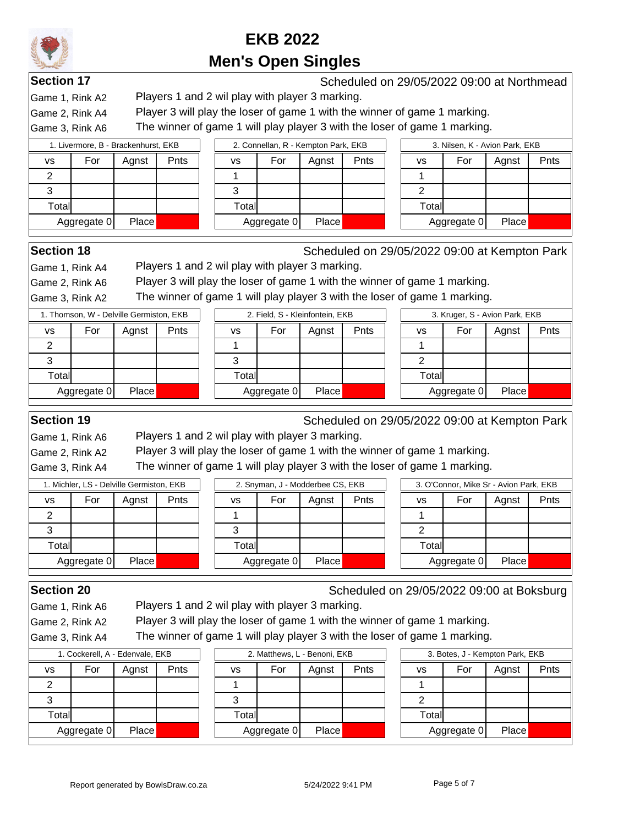

**Section 17** Scheduled on 29/05/2022 09:00 at Northmead

Game 1, Rink A2 Players 1 and 2 wil play with player 3 marking.

Game 2, Rink A4 Player 3 will play the loser of game 1 with the winner of game 1 marking.

Game 3, Rink A6 The winner of game 1 will play player 3 with the loser of game 1 marking.

| 1. Livermore, B - Brackenhurst, EKB |                      |       |      |  |  |  |  |  |
|-------------------------------------|----------------------|-------|------|--|--|--|--|--|
| vs                                  | For                  | Agnst | Pnts |  |  |  |  |  |
|                                     |                      |       |      |  |  |  |  |  |
|                                     |                      |       |      |  |  |  |  |  |
| Total                               |                      |       |      |  |  |  |  |  |
|                                     | Place<br>Aggregate 0 |       |      |  |  |  |  |  |
|                                     |                      |       |      |  |  |  |  |  |

| 1. Livermore, B - Brackenhurst, EKB |             |              |             |        | 2. Connellan, R - Kempton Park, EKB |       |      |  |        | 3. Nilsen, K - Avion Park, EKB |       |  |  |
|-------------------------------------|-------------|--------------|-------------|--------|-------------------------------------|-------|------|--|--------|--------------------------------|-------|--|--|
| s                                   | For         | Agnst        | <b>Pnts</b> | vs     | For                                 | Aqnst | Pnts |  | vs     | For                            | Agnst |  |  |
|                                     |             |              |             |        |                                     |       |      |  |        |                                |       |  |  |
|                                     |             |              |             |        |                                     |       |      |  |        |                                |       |  |  |
| Totall                              |             |              |             | Totall |                                     |       |      |  | Totall |                                |       |  |  |
|                                     | Aggregate 0 | <b>Place</b> |             |        | Aggregate 0                         | Place |      |  |        | Aggregate 0                    | Place |  |  |

|       | 3. Nilsen, K - Avion Park, EKB |       |      |
|-------|--------------------------------|-------|------|
| VS    | For                            | Agnst | Pnts |
|       |                                |       |      |
|       |                                |       |      |
| Total |                                |       |      |
|       | Aggregate 0                    | Place |      |

- Avion Park, EKB

0 Place

Agnst | Pnts

**Section 18** Scheduled on 29/05/2022 09:00 at Kempton Park

Game 1, Rink A4 Players 1 and 2 wil play with player 3 marking.

Game 2, Rink A6 Player 3 will play the loser of game 1 with the winner of game 1 marking.

Game 3, Rink A2 The winner of game 1 will play player 3 with the loser of game 1 marking.

|           | 1. Thomson, W - Delville Germiston, EKB |              |      |        | 2. Field, S - Kleinfontein, EKB | 3. Kruger, S |      |       |           |
|-----------|-----------------------------------------|--------------|------|--------|---------------------------------|--------------|------|-------|-----------|
| <b>VS</b> | For                                     | Aqnst        | Pnts | ٧S     | For                             | Agnst        | Pnts | vs    | For       |
|           |                                         |              |      |        |                                 |              |      |       |           |
|           |                                         |              |      |        |                                 |              |      |       |           |
| Total     |                                         |              |      | Totall |                                 |              |      | Total |           |
|           | Aggregate 0                             | <b>Place</b> |      |        | Aggregate 0                     | Place        |      |       | Aggregate |
|           |                                         |              |      |        |                                 |              |      |       |           |

**Section 19** Scheduled on 29/05/2022 09:00 at Kempton Park

Game 1, Rink A6 Players 1 and 2 wil play with player 3 marking.

Game 2, Rink A2 Player 3 will play the loser of game 1 with the winner of game 1 marking.

Game 3, Rink A4 The winner of game 1 will play player 3 with the loser of game 1 marking.

|           | I. Michler, LS - Delville Germiston, EKB |              |      |        |             | 2. Snyman, J - Modderbee CS, EKB |      |        |              | 3. O'Connor, Mike Sr - Avion Park, EKB |      |
|-----------|------------------------------------------|--------------|------|--------|-------------|----------------------------------|------|--------|--------------|----------------------------------------|------|
| <b>VS</b> | For                                      | Agnst        | Pnts | ٧S     | For         | Agnst                            | Pnts | vs     | For          | Agnst                                  | Pnts |
|           |                                          |              |      |        |             |                                  |      |        |              |                                        |      |
| C         |                                          |              |      | ٿ      |             |                                  |      |        |              |                                        |      |
| Totall    |                                          |              |      | Totall |             |                                  |      | Totall |              |                                        |      |
|           | Aggregate 0                              | <b>Place</b> |      |        | Aggregate 0 | <b>Place</b>                     |      |        | Aggregate 01 | Place                                  |      |

Game 1, Rink A6 Players 1 and 2 wil play with player 3 marking.

**Section 20** Scheduled on 29/05/2022 09:00 at Boksburg

Game 2, Rink A2 Player 3 will play the loser of game 1 with the winner of game 1 marking.

Game 3, Rink A4 The winner of game 1 will play player 3 with the loser of game 1 marking.

| 1. Cockerell, A - Edenvale, EKB |             |       |      |  |  |  |  |  |  |
|---------------------------------|-------------|-------|------|--|--|--|--|--|--|
| VS                              | For         | Agnst | Pnts |  |  |  |  |  |  |
| 2                               |             |       |      |  |  |  |  |  |  |
| З                               |             |       |      |  |  |  |  |  |  |
| Total                           |             |       |      |  |  |  |  |  |  |
|                                 | Aggregate 0 | Place |      |  |  |  |  |  |  |

| 1. Cockerell, A - Edenvale, EKB |             | 2. Matthews, L - Benoni, EKB |             |       |      |        | 3. Botes, J - Kempton Park, EKB |       |  |
|---------------------------------|-------------|------------------------------|-------------|-------|------|--------|---------------------------------|-------|--|
| For<br>Agnst                    | <b>Pnts</b> | vs                           | For         | Aqnst | Pnts | vs     | For                             | Agnst |  |
|                                 |             |                              |             |       |      |        |                                 |       |  |
|                                 |             |                              |             |       |      |        |                                 |       |  |
| ⊯tall                           |             | Totall                       |             |       |      | Totall |                                 |       |  |
| <b>Place</b><br>Aggregate 0     |             |                              | Aggregate 0 | Place |      |        | Aggregate 0                     | Place |  |
|                                 |             |                              |             |       |      |        |                                 |       |  |

|                      | 3. Botes, J - Kempton Park, EKB |       |      |  |  |  |  |  |  |  |
|----------------------|---------------------------------|-------|------|--|--|--|--|--|--|--|
| VS                   | For                             | Agnst | Pnts |  |  |  |  |  |  |  |
|                      |                                 |       |      |  |  |  |  |  |  |  |
| 2                    |                                 |       |      |  |  |  |  |  |  |  |
| Total                |                                 |       |      |  |  |  |  |  |  |  |
| Aggregate 0<br>Place |                                 |       |      |  |  |  |  |  |  |  |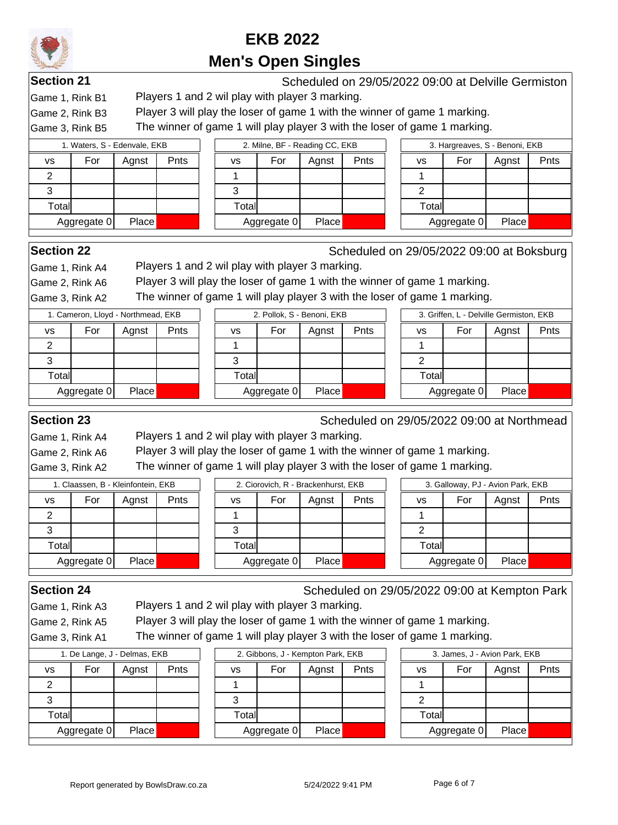

**Section 21** Scheduled on 29/05/2022 09:00 at Delville Germiston Game 1, Rink B1 Players 1 and 2 wil play with player 3 marking.

Game 2, Rink B3 Player 3 will play the loser of game 1 with the winner of game 1 marking.

Game 3, Rink B5 The winner of game 1 will play player 3 with the loser of game 1 marking.

|           | 1. Waters, S - Edenvale, EKB |              |      |       | 2. Milne, BF - Reading CC, EKB |       |      | 3. Hargreaves, S - Benoni, EKB |             |       |      |
|-----------|------------------------------|--------------|------|-------|--------------------------------|-------|------|--------------------------------|-------------|-------|------|
| <b>VS</b> | For                          | Agnst        | Pnts | vs    | For                            | Agnst | Pnts | vs                             | For         | Agnst | Pnts |
| ◠         |                              |              |      |       |                                |       |      |                                |             |       |      |
| ົ<br>Ő    |                              |              |      | Ő     |                                |       |      |                                |             |       |      |
| Total     |                              |              |      | Total |                                |       |      | Total                          |             |       |      |
|           | Aggregate 0                  | <b>Place</b> |      |       | Aggregate 0                    | Place |      |                                | Aggregate 0 | Place |      |

**Section 22** Scheduled on 29/05/2022 09:00 at Boksburg

Game 1, Rink A4 Players 1 and 2 wil play with player 3 marking.

Game 2, Rink A6 Player 3 will play the loser of game 1 with the winner of game 1 marking.

Game 3, Rink A2 The winner of game 1 will play player 3 with the loser of game 1 marking.

| 1. Cameron, Lloyd - Northmead, EKB |     |       |      |  |  |  |  |  |  |  |
|------------------------------------|-----|-------|------|--|--|--|--|--|--|--|
| vs                                 | For | Agnst | Pnts |  |  |  |  |  |  |  |
| 2                                  |     |       |      |  |  |  |  |  |  |  |
| З                                  |     |       |      |  |  |  |  |  |  |  |
| Total                              |     |       |      |  |  |  |  |  |  |  |
| Aggregate 0<br>Place               |     |       |      |  |  |  |  |  |  |  |
|                                    |     |       |      |  |  |  |  |  |  |  |

| 2. Pollok, S - Benoni, EKB |     |       |      |  |  |  |  |  |
|----------------------------|-----|-------|------|--|--|--|--|--|
| vs                         | For | Agnst | Pnts |  |  |  |  |  |
|                            |     |       |      |  |  |  |  |  |
|                            |     |       |      |  |  |  |  |  |
| Total                      |     |       |      |  |  |  |  |  |
| Aggregate 0<br>Place       |     |       |      |  |  |  |  |  |
|                            |     |       |      |  |  |  |  |  |

| 3. Griffen, L - Delville Germiston, EKB |     |       |      |  |  |  |  |
|-----------------------------------------|-----|-------|------|--|--|--|--|
| vs                                      | For | Agnst | Pnts |  |  |  |  |
|                                         |     |       |      |  |  |  |  |
| 2                                       |     |       |      |  |  |  |  |
| Total                                   |     |       |      |  |  |  |  |
| Aggregate 0<br>Place                    |     |       |      |  |  |  |  |

**Section 23** Scheduled on 29/05/2022 09:00 at Northmead

Game 1, Rink A4 Players 1 and 2 wil play with player 3 marking.

Game 2, Rink A6 Player 3 will play the loser of game 1 with the winner of game 1 marking.

Game 3, Rink A2 The winner of game 1 will play player 3 with the loser of game 1 marking.

| 1. Claassen, B - Kleinfontein, EKB |             |       | 2. Ciorovich, R - Brackenhurst, EKB |       |             | 3. Galloway, PJ - Avion Park, EKB |      |           |             |       |      |
|------------------------------------|-------------|-------|-------------------------------------|-------|-------------|-----------------------------------|------|-----------|-------------|-------|------|
| <b>VS</b>                          | For         | Aqnst | Pnts                                | VS    | For         | Agnst                             | Pnts | <b>VS</b> | For         | Agnst | Pnts |
|                                    |             |       |                                     |       |             |                                   |      |           |             |       |      |
| J                                  |             |       |                                     |       |             |                                   |      |           |             |       |      |
| Totall                             |             |       |                                     | Total |             |                                   |      | Total     |             |       |      |
|                                    | Aggregate 0 | Place |                                     |       | Aggregate 0 | <b>Place</b>                      |      |           | Aggregate 0 | Place |      |

Game 1, Rink A3 Players 1 and 2 wil play with player 3 marking.

**Section 24** Scheduled on 29/05/2022 09:00 at Kempton Park

Game 2, Rink A5 Player 3 will play the loser of game 1 with the winner of game 1 marking.

Game 3, Rink A1 The winner of game 1 will play player 3 with the loser of game 1 marking.

| 1. De Lange, J - Delmas, EKB |             |       |      |  |  |  |  |
|------------------------------|-------------|-------|------|--|--|--|--|
| VS                           | For         | Agnst | Pnts |  |  |  |  |
|                              |             |       |      |  |  |  |  |
|                              |             |       |      |  |  |  |  |
| Total                        |             |       |      |  |  |  |  |
|                              | Aggregate 0 | Place |      |  |  |  |  |

| 1. De Lange, J - Delmas, EKB |             |              | 2. Gibbons, J - Kempton Park, EKB |        |             |       | 3. James, J - Avion Park, EKB |       |             |       |  |
|------------------------------|-------------|--------------|-----------------------------------|--------|-------------|-------|-------------------------------|-------|-------------|-------|--|
|                              | For         | Aqnst        | Pnts                              | ٧S     | For         | Agnst | <b>Pnts</b>                   | vs    | For         | Agnst |  |
|                              |             |              |                                   |        |             |       |                               |       |             |       |  |
|                              |             |              |                                   |        |             |       |                               |       |             |       |  |
| tall                         |             |              |                                   | Totall |             |       |                               | Total |             |       |  |
|                              | \ggregate 0 | <b>Place</b> |                                   |        | Aggregate 0 | Place |                               |       | Aggregate 0 | Place |  |
|                              |             |              |                                   |        |             |       |                               |       |             |       |  |

|       | 3. James, J - Avion Park, EKB |       |      |  |  |  |  |  |
|-------|-------------------------------|-------|------|--|--|--|--|--|
| VS    | For                           | Agnst | Pnts |  |  |  |  |  |
|       |                               |       |      |  |  |  |  |  |
| 2     |                               |       |      |  |  |  |  |  |
| Total |                               |       |      |  |  |  |  |  |
|       | Aggregate 0                   | Place |      |  |  |  |  |  |